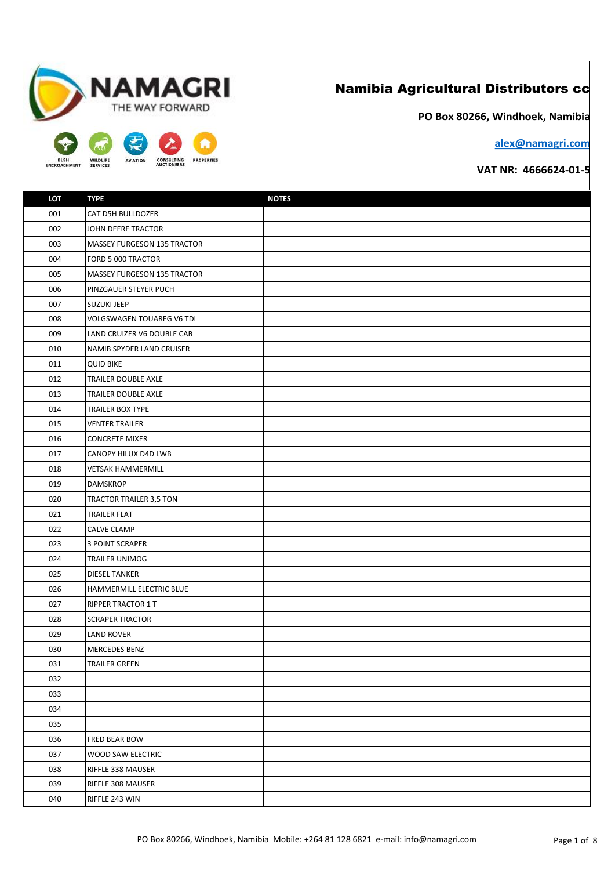## Namibia Agricultural Distributors cc

**PO Box 80266, Windhoek, Namibia**

**alex@namagri.com**

## **VAT NR: 4666624-01-5**

| LOT | <b>TYPE</b>                 | <b>NOTES</b> |
|-----|-----------------------------|--------------|
| 001 | CAT D5H BULLDOZER           |              |
| 002 | JOHN DEERE TRACTOR          |              |
| 003 | MASSEY FURGESON 135 TRACTOR |              |
| 004 | FORD 5 000 TRACTOR          |              |
| 005 | MASSEY FURGESON 135 TRACTOR |              |
| 006 | PINZGAUER STEYER PUCH       |              |
| 007 | <b>SUZUKI JEEP</b>          |              |
| 008 | VOLGSWAGEN TOUAREG V6 TDI   |              |
| 009 | LAND CRUIZER V6 DOUBLE CAB  |              |
| 010 | NAMIB SPYDER LAND CRUISER   |              |
| 011 | <b>QUID BIKE</b>            |              |
| 012 | TRAILER DOUBLE AXLE         |              |
| 013 | TRAILER DOUBLE AXLE         |              |
| 014 | TRAILER BOX TYPE            |              |
| 015 | <b>VENTER TRAILER</b>       |              |
| 016 | <b>CONCRETE MIXER</b>       |              |
| 017 | CANOPY HILUX D4D LWB        |              |
| 018 | <b>VETSAK HAMMERMILL</b>    |              |
| 019 | <b>DAMSKROP</b>             |              |
| 020 | TRACTOR TRAILER 3,5 TON     |              |
| 021 | TRAILER FLAT                |              |
| 022 | <b>CALVE CLAMP</b>          |              |
| 023 | <b>3 POINT SCRAPER</b>      |              |
| 024 | <b>TRAILER UNIMOG</b>       |              |
| 025 | <b>DIESEL TANKER</b>        |              |
| 026 | HAMMERMILL ELECTRIC BLUE    |              |
| 027 | <b>RIPPER TRACTOR 1 T</b>   |              |
| 028 | <b>SCRAPER TRACTOR</b>      |              |
| 029 | LAND ROVER                  |              |
| 030 | <b>MERCEDES BENZ</b>        |              |
| 031 | <b>TRAILER GREEN</b>        |              |
| 032 |                             |              |
| 033 |                             |              |
| 034 |                             |              |
| 035 |                             |              |
| 036 | FRED BEAR BOW               |              |
| 037 | <b>WOOD SAW ELECTRIC</b>    |              |
| 038 | RIFFLE 338 MAUSER           |              |
| 039 | RIFFLE 308 MAUSER           |              |
| 040 | RIFFLE 243 WIN              |              |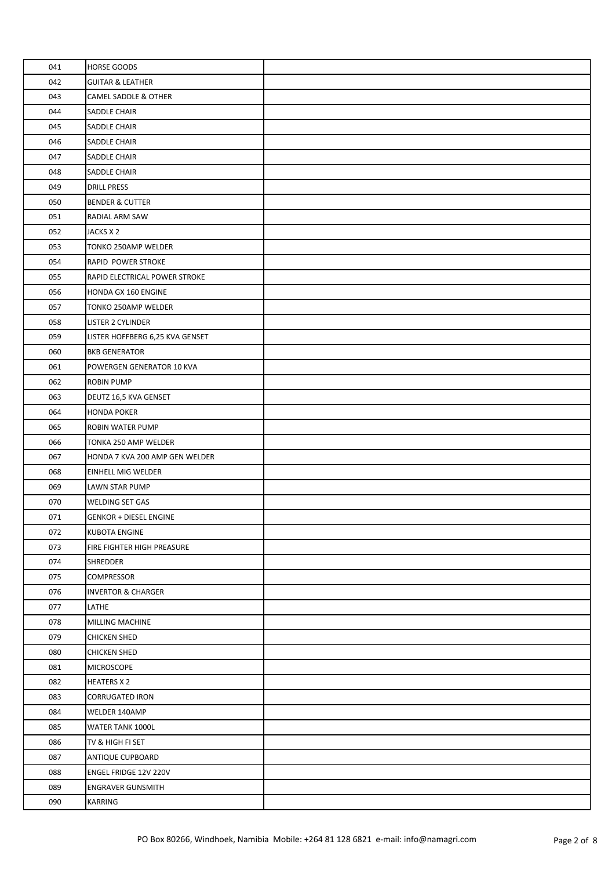| 041 | <b>HORSE GOODS</b>              |  |
|-----|---------------------------------|--|
| 042 | <b>GUITAR &amp; LEATHER</b>     |  |
| 043 | CAMEL SADDLE & OTHER            |  |
| 044 | SADDLE CHAIR                    |  |
| 045 | SADDLE CHAIR                    |  |
| 046 | SADDLE CHAIR                    |  |
| 047 | <b>SADDLE CHAIR</b>             |  |
| 048 | SADDLE CHAIR                    |  |
| 049 | <b>DRILL PRESS</b>              |  |
| 050 | <b>BENDER &amp; CUTTER</b>      |  |
| 051 | RADIAL ARM SAW                  |  |
| 052 | JACKS X 2                       |  |
| 053 | TONKO 250AMP WELDER             |  |
| 054 | RAPID POWER STROKE              |  |
| 055 | RAPID ELECTRICAL POWER STROKE   |  |
| 056 | HONDA GX 160 ENGINE             |  |
| 057 | TONKO 250AMP WELDER             |  |
| 058 | <b>LISTER 2 CYLINDER</b>        |  |
| 059 | LISTER HOFFBERG 6,25 KVA GENSET |  |
| 060 | <b>BKB GENERATOR</b>            |  |
| 061 | POWERGEN GENERATOR 10 KVA       |  |
| 062 | <b>ROBIN PUMP</b>               |  |
| 063 | DEUTZ 16,5 KVA GENSET           |  |
| 064 | <b>HONDA POKER</b>              |  |
| 065 | ROBIN WATER PUMP                |  |
| 066 | TONKA 250 AMP WELDER            |  |
| 067 | HONDA 7 KVA 200 AMP GEN WELDER  |  |
| 068 | <b>EINHELL MIG WELDER</b>       |  |
| 069 | LAWN STAR PUMP                  |  |
| 070 | WELDING SET GAS                 |  |
| 071 | <b>GENKOR + DIESEL ENGINE</b>   |  |
| 072 | <b>KUBOTA ENGINE</b>            |  |
| 073 | FIRE FIGHTER HIGH PREASURE      |  |
| 074 | <b>SHREDDER</b>                 |  |
| 075 | COMPRESSOR                      |  |
| 076 | <b>INVERTOR &amp; CHARGER</b>   |  |
| 077 | LATHE                           |  |
| 078 | <b>MILLING MACHINE</b>          |  |
| 079 | <b>CHICKEN SHED</b>             |  |
| 080 | <b>CHICKEN SHED</b>             |  |
| 081 | <b>MICROSCOPE</b>               |  |
| 082 | <b>HEATERS X 2</b>              |  |
| 083 | <b>CORRUGATED IRON</b>          |  |
| 084 | WELDER 140AMP                   |  |
| 085 | WATER TANK 1000L                |  |
| 086 | TV & HIGH FI SET                |  |
| 087 | ANTIQUE CUPBOARD                |  |
| 088 | ENGEL FRIDGE 12V 220V           |  |
| 089 | <b>ENGRAVER GUNSMITH</b>        |  |
| 090 | KARRING                         |  |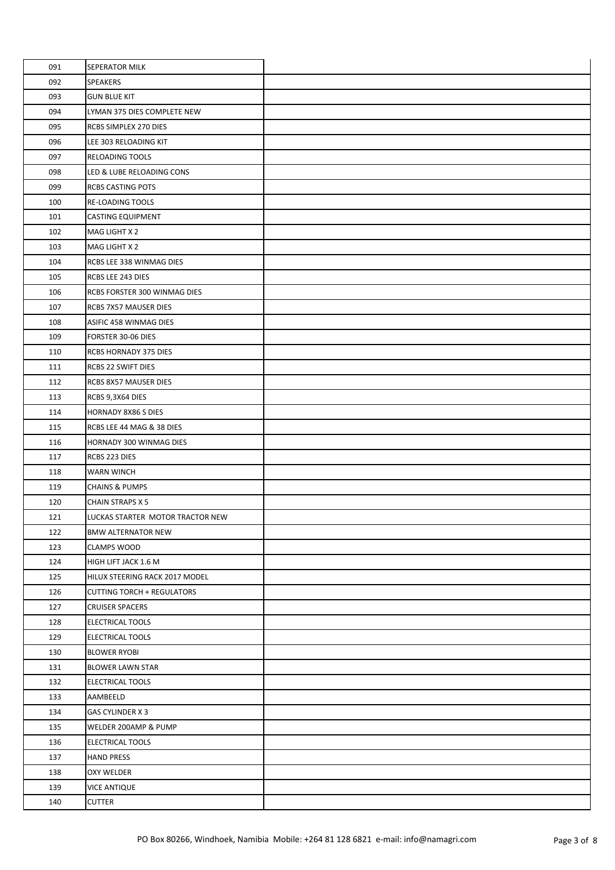| 091 | SEPERATOR MILK                    |  |
|-----|-----------------------------------|--|
| 092 | SPEAKERS                          |  |
| 093 | <b>GUN BLUE KIT</b>               |  |
| 094 | LYMAN 375 DIES COMPLETE NEW       |  |
| 095 | RCBS SIMPLEX 270 DIES             |  |
| 096 | LEE 303 RELOADING KIT             |  |
| 097 | RELOADING TOOLS                   |  |
| 098 | LED & LUBE RELOADING CONS         |  |
| 099 | <b>RCBS CASTING POTS</b>          |  |
| 100 | RE-LOADING TOOLS                  |  |
| 101 | <b>CASTING EQUIPMENT</b>          |  |
| 102 | MAG LIGHT X 2                     |  |
| 103 | MAG LIGHT X 2                     |  |
| 104 | RCBS LEE 338 WINMAG DIES          |  |
| 105 | RCBS LEE 243 DIES                 |  |
| 106 | RCBS FORSTER 300 WINMAG DIES      |  |
| 107 | RCBS 7X57 MAUSER DIES             |  |
| 108 | ASIFIC 458 WINMAG DIES            |  |
| 109 | FORSTER 30-06 DIES                |  |
| 110 | RCBS HORNADY 375 DIES             |  |
| 111 | RCBS 22 SWIFT DIES                |  |
| 112 | RCBS 8X57 MAUSER DIES             |  |
| 113 | RCBS 9,3X64 DIES                  |  |
| 114 | <b>HORNADY 8X86 S DIES</b>        |  |
| 115 | RCBS LEE 44 MAG & 38 DIES         |  |
| 116 | HORNADY 300 WINMAG DIES           |  |
| 117 | RCBS 223 DIES                     |  |
| 118 | <b>WARN WINCH</b>                 |  |
| 119 | <b>CHAINS &amp; PUMPS</b>         |  |
| 120 | <b>CHAIN STRAPS X 5</b>           |  |
| 121 | LUCKAS STARTER MOTOR TRACTOR NEW  |  |
| 122 | <b>BMW ALTERNATOR NEW</b>         |  |
| 123 | <b>CLAMPS WOOD</b>                |  |
| 124 | HIGH LIFT JACK 1.6 M              |  |
| 125 | HILUX STEERING RACK 2017 MODEL    |  |
| 126 | <b>CUTTING TORCH + REGULATORS</b> |  |
| 127 | <b>CRUISER SPACERS</b>            |  |
| 128 | ELECTRICAL TOOLS                  |  |
| 129 | ELECTRICAL TOOLS                  |  |
| 130 | <b>BLOWER RYOBI</b>               |  |
| 131 | <b>BLOWER LAWN STAR</b>           |  |
| 132 | <b>ELECTRICAL TOOLS</b>           |  |
| 133 | AAMBEELD                          |  |
| 134 | GAS CYLINDER X 3                  |  |
| 135 | WELDER 200AMP & PUMP              |  |
| 136 | <b>ELECTRICAL TOOLS</b>           |  |
| 137 | <b>HAND PRESS</b>                 |  |
| 138 | OXY WELDER                        |  |
| 139 | <b>VICE ANTIQUE</b>               |  |
| 140 | <b>CUTTER</b>                     |  |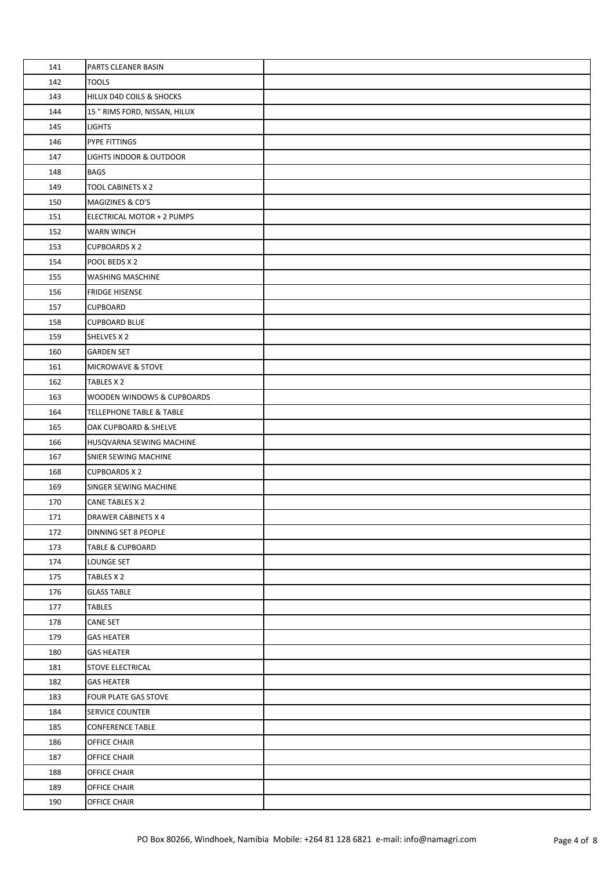| 141 | PARTS CLEANER BASIN                 |  |
|-----|-------------------------------------|--|
| 142 | <b>TOOLS</b>                        |  |
| 143 | HILUX D4D COILS & SHOCKS            |  |
| 144 | 15 " RIMS FORD, NISSAN, HILUX       |  |
| 145 | <b>LIGHTS</b>                       |  |
| 146 | PYPE FITTINGS                       |  |
| 147 | LIGHTS INDOOR & OUTDOOR             |  |
| 148 | <b>BAGS</b>                         |  |
| 149 | TOOL CABINETS X 2                   |  |
| 150 | MAGIZINES & CD'S                    |  |
| 151 | ELECTRICAL MOTOR + 2 PUMPS          |  |
| 152 | <b>WARN WINCH</b>                   |  |
| 153 | <b>CUPBOARDS X 2</b>                |  |
| 154 | POOL BEDS X 2                       |  |
| 155 | WASHING MASCHINE                    |  |
| 156 | <b>FRIDGE HISENSE</b>               |  |
| 157 | <b>CUPBOARD</b>                     |  |
| 158 | <b>CUPBOARD BLUE</b>                |  |
| 159 | SHELVES X 2                         |  |
| 160 | <b>GARDEN SET</b>                   |  |
| 161 | MICROWAVE & STOVE                   |  |
| 162 | TABLES X 2                          |  |
| 163 | WOODEN WINDOWS & CUPBOARDS          |  |
| 164 | <b>TELLEPHONE TABLE &amp; TABLE</b> |  |
| 165 | OAK CUPBOARD & SHELVE               |  |
| 166 | HUSQVARNA SEWING MACHINE            |  |
| 167 | SNIER SEWING MACHINE                |  |
| 168 | <b>CUPBOARDS X 2</b>                |  |
| 169 | SINGER SEWING MACHINE               |  |
| 170 | CANE TABLES X 2                     |  |
| 171 | <b>DRAWER CABINETS X 4</b>          |  |
| 172 | DINNING SET 8 PEOPLE                |  |
| 173 | <b>TABLE &amp; CUPBOARD</b>         |  |
| 174 | LOUNGE SET                          |  |
| 175 | TABLES X 2                          |  |
| 176 | <b>GLASS TABLE</b>                  |  |
| 177 | TABLES                              |  |
| 178 | <b>CANE SET</b>                     |  |
| 179 | <b>GAS HEATER</b>                   |  |
| 180 | <b>GAS HEATER</b>                   |  |
| 181 | <b>STOVE ELECTRICAL</b>             |  |
| 182 | <b>GAS HEATER</b>                   |  |
| 183 | FOUR PLATE GAS STOVE                |  |
| 184 | SERVICE COUNTER                     |  |
| 185 | <b>CONFERENCE TABLE</b>             |  |
| 186 | OFFICE CHAIR                        |  |
| 187 | OFFICE CHAIR                        |  |
| 188 | OFFICE CHAIR                        |  |
| 189 | OFFICE CHAIR                        |  |
| 190 | OFFICE CHAIR                        |  |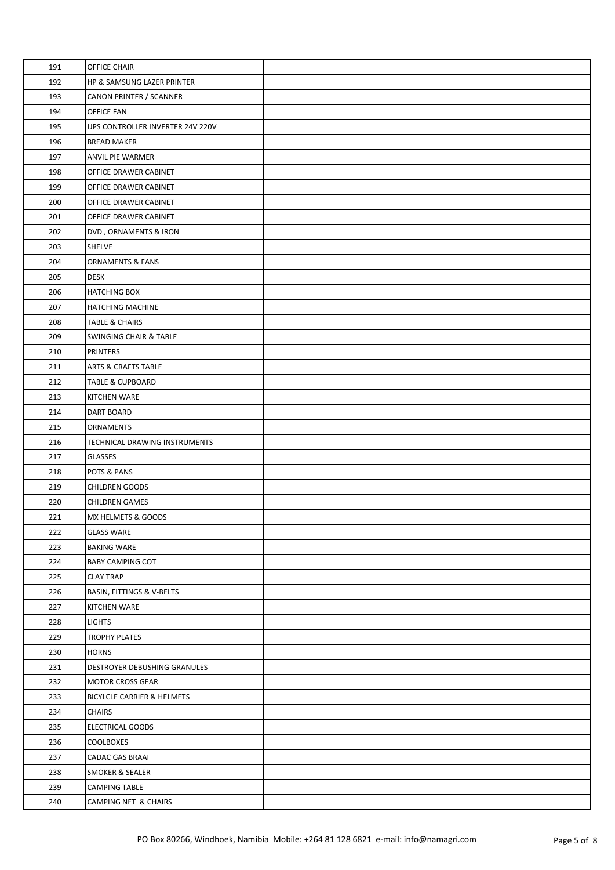| 191 | <b>OFFICE CHAIR</b>              |  |
|-----|----------------------------------|--|
| 192 | HP & SAMSUNG LAZER PRINTER       |  |
| 193 | CANON PRINTER / SCANNER          |  |
| 194 | <b>OFFICE FAN</b>                |  |
| 195 | UPS CONTROLLER INVERTER 24V 220V |  |
| 196 | <b>BREAD MAKER</b>               |  |
| 197 | <b>ANVIL PIE WARMER</b>          |  |
| 198 | OFFICE DRAWER CABINET            |  |
| 199 | OFFICE DRAWER CABINET            |  |
| 200 | OFFICE DRAWER CABINET            |  |
| 201 | OFFICE DRAWER CABINET            |  |
| 202 | DVD, ORNAMENTS & IRON            |  |
| 203 | <b>SHELVE</b>                    |  |
| 204 | <b>ORNAMENTS &amp; FANS</b>      |  |
| 205 | <b>DESK</b>                      |  |
| 206 | <b>HATCHING BOX</b>              |  |
| 207 | HATCHING MACHINE                 |  |
| 208 | <b>TABLE &amp; CHAIRS</b>        |  |
| 209 | SWINGING CHAIR & TABLE           |  |
| 210 | <b>PRINTERS</b>                  |  |
| 211 | <b>ARTS &amp; CRAFTS TABLE</b>   |  |
| 212 | <b>TABLE &amp; CUPBOARD</b>      |  |
| 213 | KITCHEN WARE                     |  |
| 214 | DART BOARD                       |  |
| 215 | <b>ORNAMENTS</b>                 |  |
| 216 | TECHNICAL DRAWING INSTRUMENTS    |  |
| 217 | <b>GLASSES</b>                   |  |
| 218 | POTS & PANS                      |  |
| 219 | CHILDREN GOODS                   |  |
| 220 | <b>CHILDREN GAMES</b>            |  |
| 221 | MX HELMETS & GOODS               |  |
| 222 | <b>GLASS WARE</b>                |  |
| 223 | <b>BAKING WARE</b>               |  |
| 224 | <b>BABY CAMPING COT</b>          |  |
| 225 | <b>CLAY TRAP</b>                 |  |
| 226 | BASIN, FITTINGS & V-BELTS        |  |
| 227 | KITCHEN WARE                     |  |
| 228 | <b>LIGHTS</b>                    |  |
| 229 | <b>TROPHY PLATES</b>             |  |
| 230 | <b>HORNS</b>                     |  |
| 231 | DESTROYER DEBUSHING GRANULES     |  |
| 232 | <b>MOTOR CROSS GEAR</b>          |  |
| 233 | BICYLCLE CARRIER & HELMETS       |  |
| 234 | <b>CHAIRS</b>                    |  |
| 235 | ELECTRICAL GOODS                 |  |
| 236 | <b>COOLBOXES</b>                 |  |
| 237 | <b>CADAC GAS BRAAI</b>           |  |
| 238 | SMOKER & SEALER                  |  |
| 239 | <b>CAMPING TABLE</b>             |  |
| 240 | CAMPING NET & CHAIRS             |  |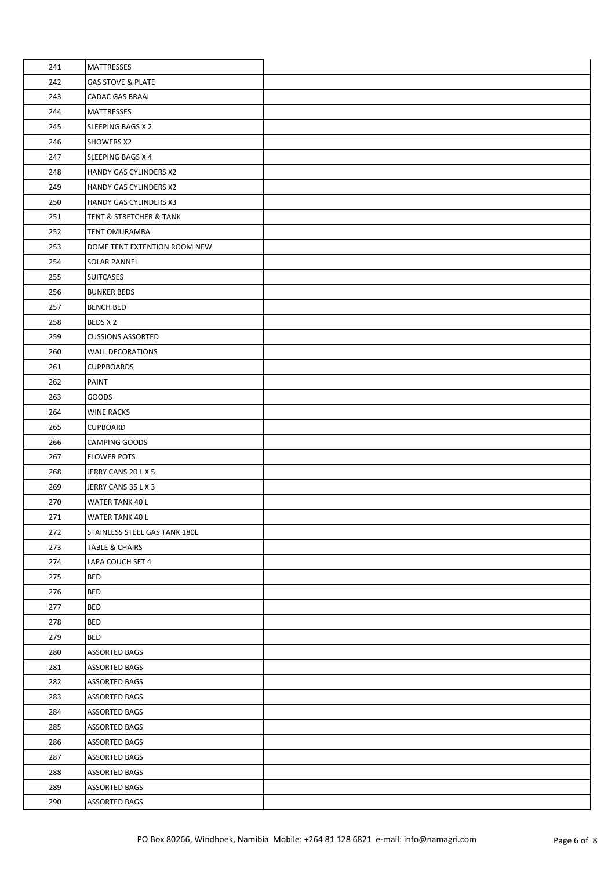| 241 | <b>MATTRESSES</b>             |  |
|-----|-------------------------------|--|
| 242 | <b>GAS STOVE &amp; PLATE</b>  |  |
| 243 | <b>CADAC GAS BRAAI</b>        |  |
| 244 | <b>MATTRESSES</b>             |  |
| 245 | SLEEPING BAGS X 2             |  |
| 246 | <b>SHOWERS X2</b>             |  |
| 247 | SLEEPING BAGS X 4             |  |
| 248 | HANDY GAS CYLINDERS X2        |  |
| 249 | HANDY GAS CYLINDERS X2        |  |
| 250 | HANDY GAS CYLINDERS X3        |  |
| 251 | TENT & STRETCHER & TANK       |  |
| 252 | <b>TENT OMURAMBA</b>          |  |
| 253 | DOME TENT EXTENTION ROOM NEW  |  |
| 254 | <b>SOLAR PANNEL</b>           |  |
| 255 | <b>SUITCASES</b>              |  |
| 256 | <b>BUNKER BEDS</b>            |  |
| 257 | <b>BENCH BED</b>              |  |
| 258 | BEDS X 2                      |  |
| 259 | <b>CUSSIONS ASSORTED</b>      |  |
| 260 | <b>WALL DECORATIONS</b>       |  |
| 261 | <b>CUPPBOARDS</b>             |  |
| 262 | PAINT                         |  |
| 263 | <b>GOODS</b>                  |  |
| 264 | <b>WINE RACKS</b>             |  |
| 265 | <b>CUPBOARD</b>               |  |
| 266 | <b>CAMPING GOODS</b>          |  |
| 267 | <b>FLOWER POTS</b>            |  |
| 268 | JERRY CANS 20 L X 5           |  |
| 269 | JERRY CANS 35 L X 3           |  |
| 270 | <b>WATER TANK 40 L</b>        |  |
| 271 | <b>WATER TANK 40 L</b>        |  |
| 272 | STAINLESS STEEL GAS TANK 180L |  |
| 273 | <b>TABLE &amp; CHAIRS</b>     |  |
| 274 | LAPA COUCH SET 4              |  |
| 275 | <b>BED</b>                    |  |
| 276 | <b>BED</b>                    |  |
| 277 | <b>BED</b>                    |  |
| 278 | <b>BED</b>                    |  |
| 279 | <b>BED</b>                    |  |
| 280 | <b>ASSORTED BAGS</b>          |  |
| 281 | <b>ASSORTED BAGS</b>          |  |
| 282 | ASSORTED BAGS                 |  |
| 283 | <b>ASSORTED BAGS</b>          |  |
| 284 | ASSORTED BAGS                 |  |
| 285 | <b>ASSORTED BAGS</b>          |  |
| 286 | <b>ASSORTED BAGS</b>          |  |
| 287 | <b>ASSORTED BAGS</b>          |  |
| 288 | ASSORTED BAGS                 |  |
| 289 | ASSORTED BAGS                 |  |
| 290 | <b>ASSORTED BAGS</b>          |  |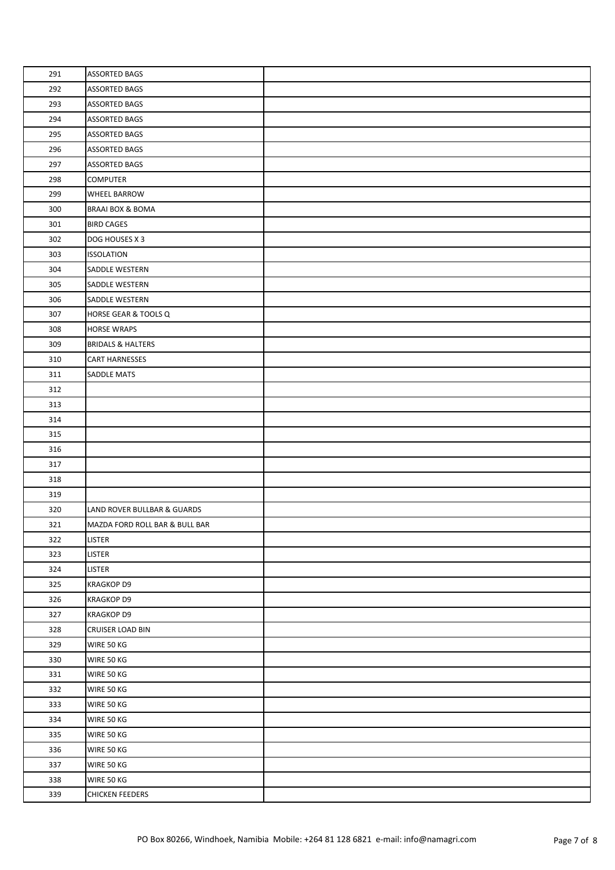| 291 | <b>ASSORTED BAGS</b>           |  |
|-----|--------------------------------|--|
| 292 | <b>ASSORTED BAGS</b>           |  |
| 293 | <b>ASSORTED BAGS</b>           |  |
| 294 | <b>ASSORTED BAGS</b>           |  |
| 295 | <b>ASSORTED BAGS</b>           |  |
| 296 | <b>ASSORTED BAGS</b>           |  |
| 297 | ASSORTED BAGS                  |  |
| 298 | <b>COMPUTER</b>                |  |
| 299 | WHEEL BARROW                   |  |
| 300 | BRAAI BOX & BOMA               |  |
| 301 | <b>BIRD CAGES</b>              |  |
| 302 | DOG HOUSES X 3                 |  |
| 303 | <b>ISSOLATION</b>              |  |
| 304 | SADDLE WESTERN                 |  |
| 305 | SADDLE WESTERN                 |  |
| 306 | SADDLE WESTERN                 |  |
| 307 | HORSE GEAR & TOOLS Q           |  |
| 308 | <b>HORSE WRAPS</b>             |  |
| 309 | <b>BRIDALS &amp; HALTERS</b>   |  |
| 310 | <b>CART HARNESSES</b>          |  |
| 311 | SADDLE MATS                    |  |
| 312 |                                |  |
| 313 |                                |  |
| 314 |                                |  |
| 315 |                                |  |
| 316 |                                |  |
| 317 |                                |  |
| 318 |                                |  |
| 319 |                                |  |
| 320 | LAND ROVER BULLBAR & GUARDS    |  |
| 321 | MAZDA FORD ROLL BAR & BULL BAR |  |
| 322 | <b>LISTER</b>                  |  |
| 323 | LISTER                         |  |
| 324 | <b>LISTER</b>                  |  |
| 325 | <b>KRAGKOP D9</b>              |  |
| 326 | <b>KRAGKOP D9</b>              |  |
| 327 | KRAGKOP D9                     |  |
| 328 | <b>CRUISER LOAD BIN</b>        |  |
| 329 | WIRE 50 KG                     |  |
| 330 | WIRE 50 KG                     |  |
| 331 | WIRE 50 KG                     |  |
| 332 | WIRE 50 KG                     |  |
| 333 | WIRE 50 KG                     |  |
| 334 | WIRE 50 KG                     |  |
| 335 | WIRE 50 KG                     |  |
| 336 | WIRE 50 KG                     |  |
| 337 | WIRE 50 KG                     |  |
| 338 | WIRE 50 KG                     |  |
| 339 | <b>CHICKEN FEEDERS</b>         |  |